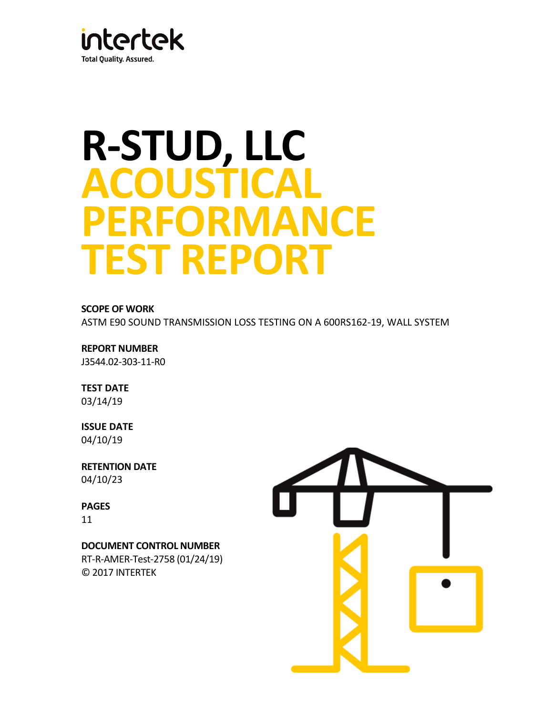

# **R-STUD, LLC ACOUSTICAL PERFORMANCE TEST REPORT**

**SCOPE OF WORK**

ASTM E90 SOUND TRANSMISSION LOSS TESTING ON A 600RS162-19, WALL SYSTEM

**REPORT NUMBER** J3544.02-303-11-R0

**TEST DATE** 03/14/19

**ISSUE DATE** 04/10/19

**RETENTION DATE** 04/10/23

**PAGES**

11

**DOCUMENT CONTROL NUMBER** RT-R-AMER-Test-2758 (01/24/19) © 2017 INTERTEK

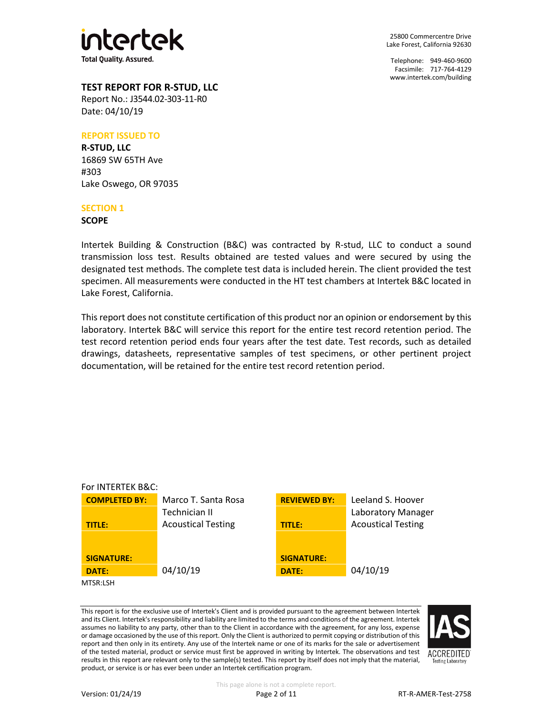

Telephone: 949-460-9600 Facsimile: 717-764-4129 [www.intertek.com/building](http://www.intertek.com/building)

## **TEST REPORT FOR R-STUD, LLC**

Report No.: J3544.02-303-11-R0 Date: 04/10/19

#### **REPORT ISSUED TO**

**R-STUD, LLC** 16869 SW 65TH Ave #303 Lake Oswego, OR 97035

#### **SECTION 1**

**SCOPE**

Intertek Building & Construction (B&C) was contracted by R-stud, LLC to conduct a sound transmission loss test. Results obtained are tested values and were secured by using the designated test methods. The complete test data is included herein. The client provided the test specimen. All measurements were conducted in the HT test chambers at Intertek B&C located in Lake Forest, California.

This report does not constitute certification of this product nor an opinion or endorsement by this laboratory. Intertek B&C will service this report for the entire test record retention period. The test record retention period ends four years after the test date. Test records, such as detailed drawings, datasheets, representative samples of test specimens, or other pertinent project documentation, will be retained for the entire test record retention period.



This report is for the exclusive use of Intertek's Client and is provided pursuant to the agreement between Intertek and its Client. Intertek's responsibility and liability are limited to the terms and conditions of the agreement. Intertek assumes no liability to any party, other than to the Client in accordance with the agreement, for any loss, expense or damage occasioned by the use of this report. Only the Client is authorized to permit copying or distribution of this report and then only in its entirety. Any use of the Intertek name or one of its marks for the sale or advertisement of the tested material, product or service must first be approved in writing by Intertek. The observations and test results in this report are relevant only to the sample(s) tested. This report by itself does not imply that the material, product, or service is or has ever been under an Intertek certification program.

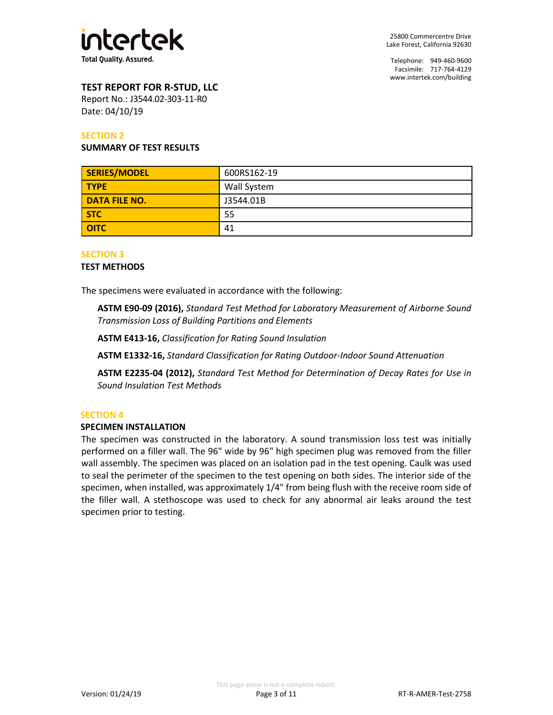

## **TEST REPORT FOR R-STUD, LLC**

Report No.: J3544.02-303-11-R0 Date: 04/10/19

#### **SECTION 2**

#### **SUMMARY OF TEST RESULTS**

| SERIES/MODEL         | 600RS162-19 |  |
|----------------------|-------------|--|
| <b>TYPE</b>          | Wall System |  |
| <b>DATA FILE NO.</b> | J3544.01B   |  |
| <b>STC</b>           | 55          |  |
| <b>OITC</b>          | 41          |  |

### **SECTION 3**

#### **TEST METHODS**

The specimens were evaluated in accordance with the following:

**ASTM E90-09 (2016),** *Standard Test Method for Laboratory Measurement of Airborne Sound Transmission Loss of Building Partitions and Elements*

**ASTM E413-16,** *Classification for Rating Sound Insulation*

**ASTM E1332-16,** *Standard Classification for Rating Outdoor-Indoor Sound Attenuation*

**ASTM E2235-04 (2012),** *Standard Test Method for Determination of Decay Rates for Use in Sound Insulation Test Methods*

#### **SECTION 4**

#### **SPECIMEN INSTALLATION**

The specimen was constructed in the laboratory. A sound transmission loss test was initially performed on a filler wall. The 96" wide by 96" high specimen plug was removed from the filler wall assembly. The specimen was placed on an isolation pad in the test opening. Caulk was used to seal the perimeter of the specimen to the test opening on both sides. The interior side of the specimen, when installed, was approximately 1/4" from being flush with the receive room side of the filler wall. A stethoscope was used to check for any abnormal air leaks around the test specimen prior to testing.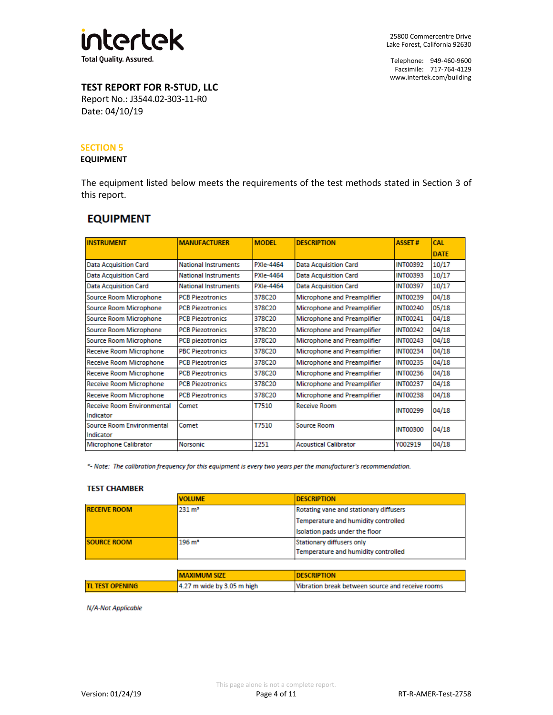

# **TEST REPORT FOR R-STUD, LLC**

Report No.: J3544.02-303-11-R0 Date: 04/10/19

#### **SECTION 5**

#### **EQUIPMENT**

The equipment listed below meets the requirements of the test methods stated in Section 3 of this report.

## **EQUIPMENT**

| <b>INSTRUMENT</b>                 | <b>MANUFACTURER</b>         | <b>MODEL</b>     | <b>DESCRIPTION</b>           | <b>ASSET#</b>   | CAL         |
|-----------------------------------|-----------------------------|------------------|------------------------------|-----------------|-------------|
|                                   |                             |                  |                              |                 | <b>DATE</b> |
| <b>Data Acquisition Card</b>      | <b>National Instruments</b> | PXIe-4464        | <b>Data Acquisition Card</b> | <b>INT00392</b> | 10/17       |
| <b>Data Acquisition Card</b>      | <b>National Instruments</b> | <b>PXIe-4464</b> | <b>Data Acquisition Card</b> | <b>INT00393</b> | 10/17       |
| <b>Data Acquisition Card</b>      | <b>National Instruments</b> | PXIe-4464        | <b>Data Acquisition Card</b> | <b>INT00397</b> | 10/17       |
| Source Room Microphone            | <b>PCB Piezotronics</b>     | 378C20           | Microphone and Preamplifier  | <b>INT00239</b> | 04/18       |
| Source Room Microphone            | <b>PCB Piezotronics</b>     | 378C20           | Microphone and Preamplifier  | <b>INT00240</b> | 05/18       |
| Source Room Microphone            | <b>PCB Piezotronics</b>     | 378C20           | Microphone and Preamplifier  | <b>INT00241</b> | 04/18       |
| Source Room Microphone            | <b>PCB Piezotronics</b>     | 378C20           | Microphone and Preamplifier  | <b>INT00242</b> | 04/18       |
| Source Room Microphone            | <b>PCB</b> piezotronics     | 378C20           | Microphone and Preamplifier  | <b>INT00243</b> | 04/18       |
| Receive Room Microphone           | <b>PBC Piezotronics</b>     | 378C20           | Microphone and Preamplifier  | <b>INT00234</b> | 04/18       |
| Receive Room Microphone           | <b>PCB Piezotronics</b>     | 378C20           | Microphone and Preamplifier  | <b>INT00235</b> | 04/18       |
| Receive Room Microphone           | <b>PCB Piezotronics</b>     | 378C20           | Microphone and Preamplifier  | <b>INT00236</b> | 04/18       |
| Receive Room Microphone           | <b>PCB Piezotronics</b>     | 378C20           | Microphone and Preamplifier  | <b>INT00237</b> | 04/18       |
| Receive Room Microphone           | <b>PCB Piezotronics</b>     | 378C20           | Microphone and Preamplifier  | <b>INT00238</b> | 04/18       |
| <b>Receive Room Environmental</b> | Comet                       | T7510            | <b>Receive Room</b>          | <b>INT00299</b> | 04/18       |
| Indicator                         |                             |                  |                              |                 |             |
| <b>Source Room Environmental</b>  | Comet                       | T7510            | <b>Source Room</b>           | <b>INT00300</b> | 04/18       |
| Indicator                         |                             |                  |                              |                 |             |
| Microphone Calibrator             | <b>Norsonic</b>             | 1251             | <b>Acoustical Calibrator</b> | Y002919         | 04/18       |

\*- Note: The calibration frequency for this equipment is every two years per the manufacturer's recommendation.

#### **TEST CHAMBER**

|                     | <b>VOLUME</b>     | <b>IDESCRIPTION</b>                    |
|---------------------|-------------------|----------------------------------------|
| <b>RECEIVE ROOM</b> | $231 \text{ m}^3$ | Rotating vane and stationary diffusers |
|                     |                   | Temperature and humidity controlled    |
|                     |                   | Isolation pads under the floor         |
| <b>SOURCE ROOM</b>  | $196 \text{ m}^3$ | Stationary diffusers only              |
|                     |                   | Temperature and humidity controlled    |

|                         | <b>MAXIMUM SIZE</b>           | <b>IDESCRIPTION</b>                              |
|-------------------------|-------------------------------|--------------------------------------------------|
| <b>ITL TEST OPENING</b> | $14.27$ m wide by 3.05 m high | Vibration break between source and receive rooms |

N/A-Not Applicable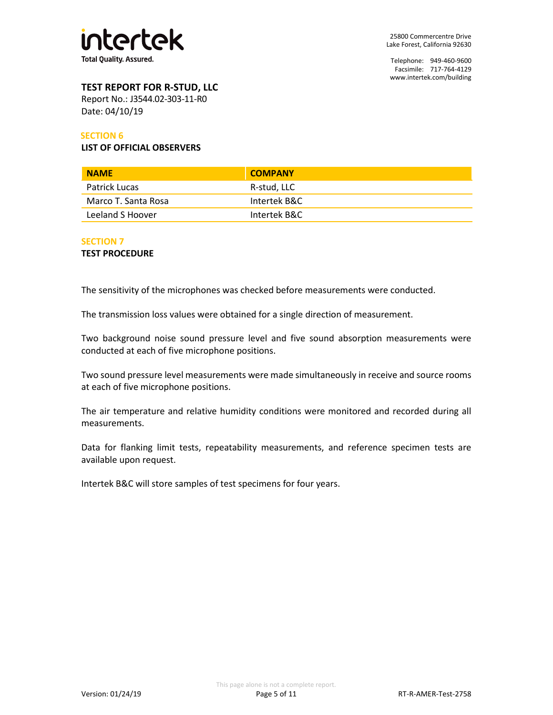

## **TEST REPORT FOR R-STUD, LLC**

Report No.: J3544.02-303-11-R0 Date: 04/10/19

#### **SECTION 6**

#### **LIST OF OFFICIAL OBSERVERS**

| <b>NAME</b>         | <b>COMPANY</b> |
|---------------------|----------------|
| Patrick Lucas       | R-stud, LLC    |
| Marco T. Santa Rosa | Intertek B&C   |
| Leeland S Hoover    | Intertek B&C   |

### **SECTION 7**

#### **TEST PROCEDURE**

The sensitivity of the microphones was checked before measurements were conducted.

The transmission loss values were obtained for a single direction of measurement.

Two background noise sound pressure level and five sound absorption measurements were conducted at each of five microphone positions.

Two sound pressure level measurements were made simultaneously in receive and source rooms at each of five microphone positions.

The air temperature and relative humidity conditions were monitored and recorded during all measurements.

Data for flanking limit tests, repeatability measurements, and reference specimen tests are available upon request.

Intertek B&C will store samples of test specimens for four years.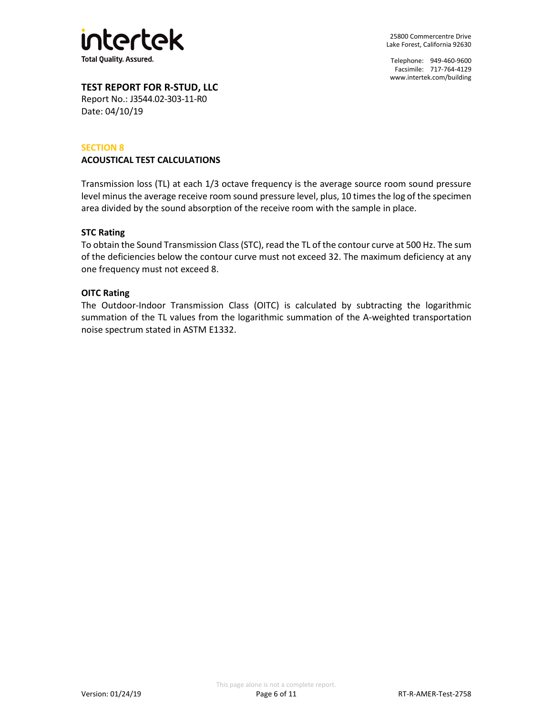

Telephone: 949-460-9600 Facsimile: 717-764-4129 [www.intertek.com/building](http://www.intertek.com/building)

**TEST REPORT FOR R-STUD, LLC**

Report No.: J3544.02-303-11-R0 Date: 04/10/19

#### **SECTION 8**

### **ACOUSTICAL TEST CALCULATIONS**

Transmission loss (TL) at each 1/3 octave frequency is the average source room sound pressure level minus the average receive room sound pressure level, plus, 10 times the log of the specimen area divided by the sound absorption of the receive room with the sample in place.

### **STC Rating**

To obtain the Sound Transmission Class (STC), read the TL of the contour curve at 500 Hz. The sum of the deficiencies below the contour curve must not exceed 32. The maximum deficiency at any one frequency must not exceed 8.

### **OITC Rating**

The Outdoor-Indoor Transmission Class (OITC) is calculated by subtracting the logarithmic summation of the TL values from the logarithmic summation of the A-weighted transportation noise spectrum stated in ASTM E1332.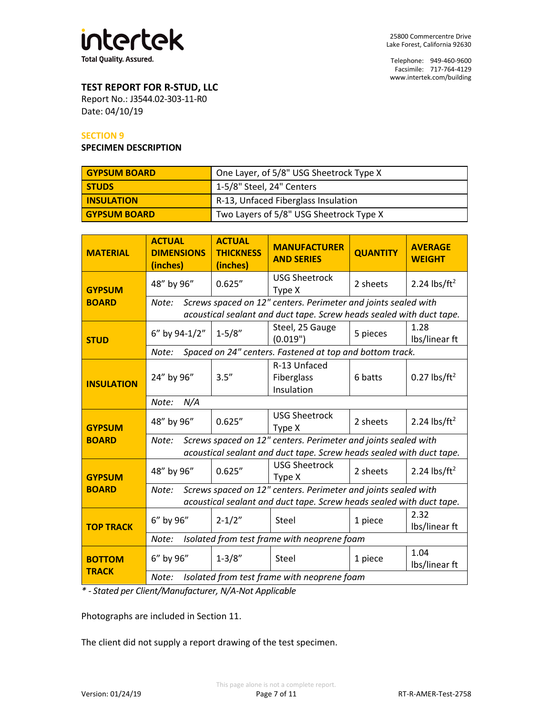

Telephone: 949-460-9600 Facsimile: 717-764-4129 [www.intertek.com/building](http://www.intertek.com/building)

## **TEST REPORT FOR R-STUD, LLC**

Report No.: J3544.02-303-11-R0 Date: 04/10/19

#### **SECTION 9**

#### **SPECIMEN DESCRIPTION**

| <b>GYPSUM BOARD</b> | One Layer, of 5/8" USG Sheetrock Type X |  |  |
|---------------------|-----------------------------------------|--|--|
| <b>STUDS</b>        | 1-5/8" Steel, 24" Centers               |  |  |
| <b>INSULATION</b>   | R-13, Unfaced Fiberglass Insulation     |  |  |
| <b>GYPSUM BOARD</b> | Two Layers of 5/8" USG Sheetrock Type X |  |  |

| <b>MATERIAL</b>                 | <b>ACTUAL</b><br><b>DIMENSIONS</b><br>(inches)                                                                                                  | <b>ACTUAL</b><br><b>THICKNESS</b><br>(inches) | <b>MANUFACTURER</b><br><b>AND SERIES</b>                                                                                               | <b>QUANTITY</b> | <b>AVERAGE</b><br><b>WEIGHT</b> |  |  |  |
|---------------------------------|-------------------------------------------------------------------------------------------------------------------------------------------------|-----------------------------------------------|----------------------------------------------------------------------------------------------------------------------------------------|-----------------|---------------------------------|--|--|--|
| <b>GYPSUM</b>                   | 48" by 96"                                                                                                                                      | 0.625''                                       | <b>USG Sheetrock</b><br>Type X                                                                                                         | 2 sheets        | 2.24 lbs/ft <sup>2</sup>        |  |  |  |
| <b>BOARD</b>                    | Note:                                                                                                                                           |                                               | Screws spaced on 12" centers. Perimeter and joints sealed with<br>acoustical sealant and duct tape. Screw heads sealed with duct tape. |                 |                                 |  |  |  |
| <b>STUD</b>                     | 6" by 94-1/2"                                                                                                                                   | $1 - 5/8"$                                    | Steel, 25 Gauge<br>(0.019")                                                                                                            | 5 pieces        | 1.28<br>Ibs/linear ft           |  |  |  |
|                                 | Note:                                                                                                                                           |                                               | Spaced on 24" centers. Fastened at top and bottom track.                                                                               |                 |                                 |  |  |  |
| 24" by 96"<br><b>INSULATION</b> |                                                                                                                                                 | 3.5''                                         | R-13 Unfaced<br>Fiberglass<br>Insulation                                                                                               | 6 batts         | $0.27$ lbs/ft <sup>2</sup>      |  |  |  |
|                                 | Note:<br>N/A                                                                                                                                    |                                               |                                                                                                                                        |                 |                                 |  |  |  |
| <b>GYPSUM</b>                   | 48" by 96"                                                                                                                                      | 0.625''                                       | <b>USG Sheetrock</b><br>Type X                                                                                                         | 2 sheets        | 2.24 lbs/ft <sup>2</sup>        |  |  |  |
| <b>BOARD</b>                    | Screws spaced on 12" centers. Perimeter and joints sealed with<br>Note:<br>acoustical sealant and duct tape. Screw heads sealed with duct tape. |                                               |                                                                                                                                        |                 |                                 |  |  |  |
| <b>GYPSUM</b>                   | 48" by 96"                                                                                                                                      | 0.625''                                       | <b>USG Sheetrock</b><br>Type X                                                                                                         | 2 sheets        | 2.24 $\frac{1}{2}$              |  |  |  |
| <b>BOARD</b>                    | Screws spaced on 12" centers. Perimeter and joints sealed with<br>Note:<br>acoustical sealant and duct tape. Screw heads sealed with duct tape. |                                               |                                                                                                                                        |                 |                                 |  |  |  |
| <b>TOP TRACK</b>                | 6" by 96"                                                                                                                                       | $2 - 1/2"$                                    | Steel                                                                                                                                  | 1 piece         | 2.32<br>Ibs/linear ft           |  |  |  |
|                                 | Note:                                                                                                                                           |                                               | Isolated from test frame with neoprene foam                                                                                            |                 |                                 |  |  |  |
| <b>BOTTOM</b><br><b>TRACK</b>   | 6" by 96"                                                                                                                                       | $1 - 3/8"$                                    | Steel                                                                                                                                  | 1 piece         | 1.04<br>Ibs/linear ft           |  |  |  |
|                                 | Isolated from test frame with neoprene foam<br>Note:                                                                                            |                                               |                                                                                                                                        |                 |                                 |  |  |  |

*\* - Stated per Client/Manufacturer, N/A-Not Applicable*

Photographs are included in Section 11.

The client did not supply a report drawing of the test specimen.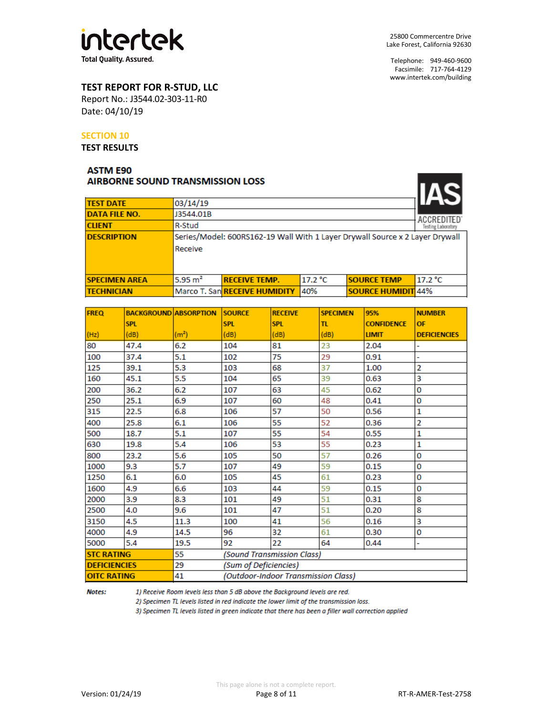

 $\overline{\mathsf{L}}$ 

## **TEST REPORT FOR R-STUD, LLC**

Report No.: J3544.02-303-11-R0 Date: 04/10/19

#### **SECTION 10**

**TEST RESULTS**

## **ASTM E90 AIRBORNE SOUND TRANSMISSION LOSS**

| <b>TEST DATE</b>     | 03/14/19  |                                                                              |         |                           | IAJ                                     |
|----------------------|-----------|------------------------------------------------------------------------------|---------|---------------------------|-----------------------------------------|
| <b>DATA FILE NO.</b> | J3544.01B |                                                                              |         |                           |                                         |
| <b>CLIENT</b>        | R-Stud    |                                                                              |         |                           | <b>ACCREDITED</b><br>Testing Laboratory |
| <b>DESCRIPTION</b>   |           | Series/Model: 600RS162-19 Wall With 1 Layer Drywall Source x 2 Layer Drywall |         |                           |                                         |
|                      | Receive   |                                                                              |         |                           |                                         |
|                      |           |                                                                              |         |                           |                                         |
|                      |           |                                                                              |         |                           |                                         |
| <b>SPECIMEN AREA</b> | 5.95 $m2$ | <b>RECEIVE TEMP.</b>                                                         | 17.2 °C | <b>SOURCE TEMP</b>        | 17.2 °C                                 |
| <b>TECHNICIAN</b>    |           | Marco T. San RECEIVE HUMIDITY                                                | 40%     | <b>SOURCE HUMIDIT 44%</b> |                                         |

| <b>FREQ</b>         | <b>BACKGROUND ABSORPTION</b> |                   | <b>SOURCE</b>              | <b>RECEIVE</b>                      | <b>SPECIMEN</b> | 95%               | <b>NUMBER</b>       |
|---------------------|------------------------------|-------------------|----------------------------|-------------------------------------|-----------------|-------------------|---------------------|
|                     | <b>SPL</b>                   |                   | <b>SPL</b>                 | <b>SPL</b>                          | π               | <b>CONFIDENCE</b> | <b>OF</b>           |
| (Hz)                | (dB)                         | (m <sup>2</sup> ) | (dB)                       | (dB)                                | (dB)            | <b>LIMIT</b>      | <b>DEFICIENCIES</b> |
| 80                  | 47.4                         | 6.2               | 104                        | 81                                  | 23              | 2.04              |                     |
| 100                 | 37.4                         | 5.1               | 102                        | 75                                  | 29              | 0.91              |                     |
| 125                 | 39.1                         | 5.3               | 103                        | 68                                  | 37              | 1.00              | 2                   |
| 160                 | 45.1                         | 5.5               | 104                        | 65                                  | 39              | 0.63              | 3                   |
| 200                 | 36.2                         | 6.2               | 107                        | 63                                  | 45              | 0.62              | 0                   |
| 250                 | 25.1                         | 6.9               | 107                        | 60                                  | 48              | 0.41              | 0                   |
| 315                 | 22.5                         | 6.8               | 106                        | 57                                  | 50              | 0.56              | 1                   |
| 400                 | 25.8                         | 6.1               | 106                        | 55                                  | 52              | 0.36              | 2                   |
| 500                 | 18.7                         | 5.1               | 107                        | 55                                  | 54              | 0.55              | 1                   |
| 630                 | 19.8                         | 5.4               | 106                        | 53                                  | 55              | 0.23              | 1                   |
| 800                 | 23.2                         | 5.6               | 105                        | 50                                  | 57              | 0.26              | 0                   |
| 1000                | 9.3                          | 5.7               | 107                        | 49                                  | 59              | 0.15              | 0                   |
| 1250                | 6.1                          | 6.0               | 105                        | 45                                  | 61              | 0.23              | 0                   |
| 1600                | 4.9                          | 6.6               | 103                        | 44                                  | 59              | 0.15              | 0                   |
| 2000                | 3.9                          | 8.3               | 101                        | 49                                  | 51              | 0.31              | 8                   |
| 2500                | 4.0                          | 9.6               | 101                        | 47                                  | 51              | 0.20              | 8                   |
| 3150                | 4.5                          | 11.3              | 100                        | 41                                  | 56              | 0.16              | 3                   |
| 4000                | 4.9                          | 14.5              | 96                         | 32                                  | 61              | 0.30              | 0                   |
| 5000                | 5.4                          | 19.5              | 92                         | 22                                  | 64              | 0.44              | -                   |
| <b>STC RATING</b>   |                              | 55                | (Sound Transmission Class) |                                     |                 |                   |                     |
| <b>DEFICIENCIES</b> |                              | 29                | (Sum of Deficiencies)      |                                     |                 |                   |                     |
| <b>OITC RATING</b>  |                              | 41                |                            | (Outdoor-Indoor Transmission Class) |                 |                   |                     |

Notes:

1) Receive Room levels less than 5 dB above the Background levels are red.

2) Specimen TL levels listed in red indicate the lower limit of the transmission loss.

3) Specimen TL levels listed in green indicate that there has been a filler wall correction applied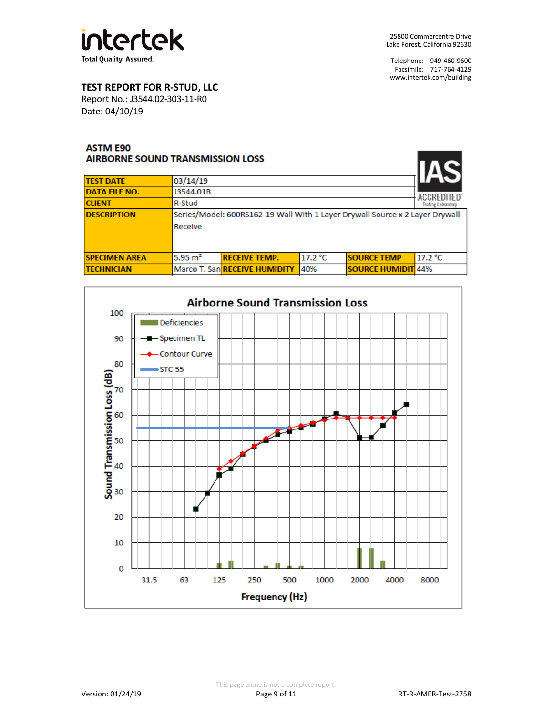

# **TEST REPORT FOR R-STUD, LLC**

Report No.: J3544.02-303-11-R0 Date: 04/10/19

## **ASTM E90** AIRBORNE SOLIND TRANSMISSION LOSS

| AMDONNE JOUTE INANDIMIJAN EUJJ |                          |                                                                              |         |                           |                         |
|--------------------------------|--------------------------|------------------------------------------------------------------------------|---------|---------------------------|-------------------------|
| <b>TEST DATE</b>               | 03/14/19                 |                                                                              |         |                           |                         |
| DATA FILE NO.                  | J3544.01B                |                                                                              |         |                           | ACCREDITED <sup>®</sup> |
| CLIENT                         | R-Stud                   |                                                                              |         |                           | Testing Laboratory      |
| <b>DESCRIPTION</b>             |                          | Series/Model: 600RS162-19 Wall With 1 Layer Drywall Source x 2 Layer Drywall |         |                           |                         |
|                                | Receive                  |                                                                              |         |                           |                         |
|                                |                          |                                                                              |         |                           |                         |
|                                |                          |                                                                              |         |                           |                         |
| <b>SPECIMEN AREA</b>           | 5.95 $\,$ m <sup>2</sup> | <b>RECEIVE TEMP.</b>                                                         | 17.2 °C | <b>SOURCE TEMP</b>        | 17.2 °C                 |
| <b>TECHNICIAN</b>              |                          | Marco T. San RECEIVE HUMIDITY                                                | 40%     | <b>SOURCE HUMIDIT 44%</b> |                         |
|                                |                          |                                                                              |         |                           |                         |

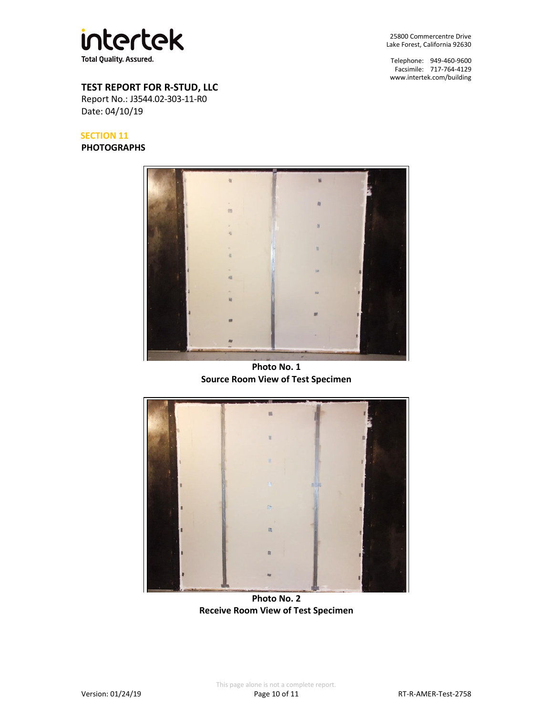

Telephone: 949-460-9600 Facsimile: 717-764-4129 [www.intertek.com/building](http://www.intertek.com/building)

## **TEST REPORT FOR R-STUD, LLC**

Report No.: J3544.02-303-11-R0 Date: 04/10/19

#### **SECTION 11**

**PHOTOGRAPHS**



**Photo No. 1 Source Room View of Test Specimen**



**Photo No. 2 Receive Room View of Test Specimen**